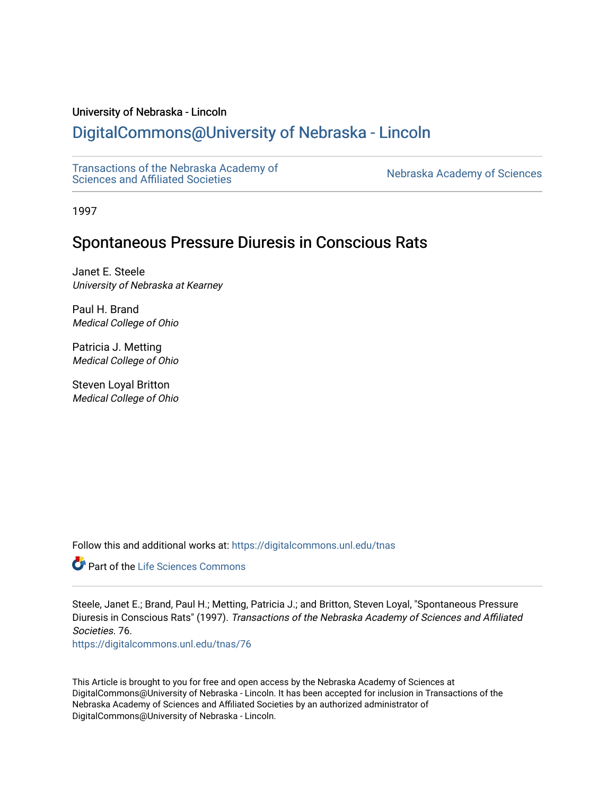## University of Nebraska - Lincoln

# [DigitalCommons@University of Nebraska - Lincoln](https://digitalcommons.unl.edu/)

[Transactions of the Nebraska Academy of](https://digitalcommons.unl.edu/tnas)  Transactions of the Nebraska Academy of Sciences<br>Sciences and Affiliated Societies

1997

## Spontaneous Pressure Diuresis in Conscious Rats

Janet E. Steele University of Nebraska at Kearney

Paul H. Brand Medical College of Ohio

Patricia J. Metting Medical College of Ohio

Steven Loyal Britton Medical College of Ohio

Follow this and additional works at: [https://digitalcommons.unl.edu/tnas](https://digitalcommons.unl.edu/tnas?utm_source=digitalcommons.unl.edu%2Ftnas%2F76&utm_medium=PDF&utm_campaign=PDFCoverPages) 

Part of the [Life Sciences Commons](http://network.bepress.com/hgg/discipline/1016?utm_source=digitalcommons.unl.edu%2Ftnas%2F76&utm_medium=PDF&utm_campaign=PDFCoverPages) 

Steele, Janet E.; Brand, Paul H.; Metting, Patricia J.; and Britton, Steven Loyal, "Spontaneous Pressure Diuresis in Conscious Rats" (1997). Transactions of the Nebraska Academy of Sciences and Affiliated Societies. 76.

[https://digitalcommons.unl.edu/tnas/76](https://digitalcommons.unl.edu/tnas/76?utm_source=digitalcommons.unl.edu%2Ftnas%2F76&utm_medium=PDF&utm_campaign=PDFCoverPages)

This Article is brought to you for free and open access by the Nebraska Academy of Sciences at DigitalCommons@University of Nebraska - Lincoln. It has been accepted for inclusion in Transactions of the Nebraska Academy of Sciences and Affiliated Societies by an authorized administrator of DigitalCommons@University of Nebraska - Lincoln.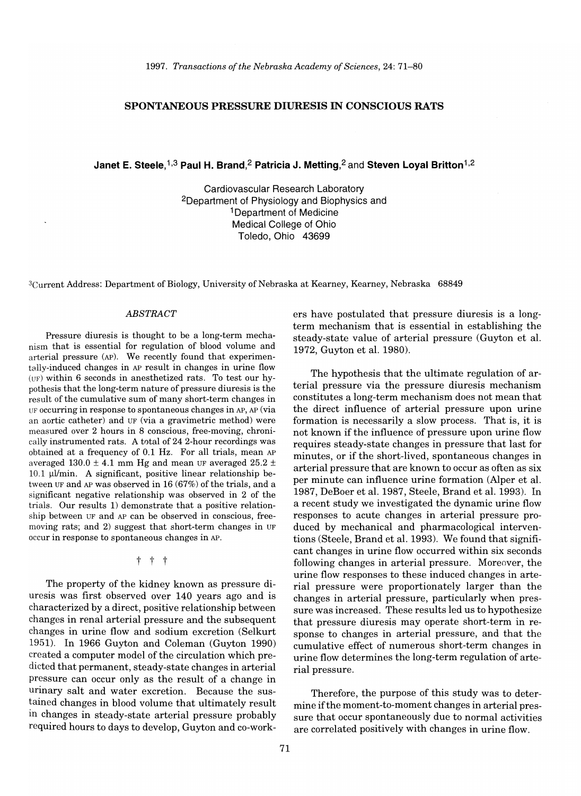### **SPONTANEOUS PRESSURE DIURESIS IN CONSCIOUS RATS**

Janet E. Steele, <sup>1,3</sup> Paul H. Brand, <sup>2</sup> Patricia J. Metting, <sup>2</sup> and Steven Loyal Britton<sup>1, 2</sup>

Cardiovascular Research Laboratory 2Department of Physiology and Biophysics and 1 Department of Medicine Medical College of Ohio Toledo, Ohio 43699

3Current Address: Department of Biology, University of Nebraska at Kearney, Kearney, Nebraska 68849

#### *ABSTRACT*

Pressure diuresis is thought to be a long-term mechanism that is essential for regulation of blood volume and arterial pressure (AP). We recently found that experimentally-induced changes in AP result in changes in urine flow (UF) within 6 seconds in anesthetized rats. To test our hypothesis that the long-term nature of pressure diuresis is the result of the cumulative sum of many short-term changes in UF occurring in response to spontaneous changes in AP, AP (via an aortic catheter) and UF (via a gravimetric method) were measured over 2 hours in 8 conscious, free-moving, chronically instrumented rats. A total of 24 2-hour recordings was obtained at a frequency of 0.1 Hz. For all trials, mean AP averaged  $130.0 \pm 4.1$  mm Hg and mean UF averaged  $25.2 \pm$  $10.1$  µl/min. A significant, positive linear relationship between UF and AP was observed in  $16(67%)$  of the trials, and a significant negative relationship was observed in 2 of the trials. Our results 1) demonstrate that a positive relationship between UF and AP can be observed in conscious, freemoving rats; and 2) suggest that short-term changes in UF occur in response to spontaneous changes in AP.

t t t

The property of the kidney known as pressure diuresis was first observed over 140 years ago and is characterized by a direct, positive relationship between changes in renal arterial pressure and the subsequent changes in urine flow and sodium excretion (Selkurt 1951). In 1966 Guyton and Coleman (Guyton 1990) created a computer model of the circulation which predicted that permanent, steady-state changes in arterial pressure can occur only as the result of a change in urinary salt and water excretion. Because the sustained changes in blood volume that ultimately result in changes in steady-state arterial pressure probably required hours to days to develop, Guyton and co-workers have postulated that pressure diuresis is a longterm mechanism that is essential in establishing the steady-state value of arterial pressure (Guyton et al. 1972, Guyton et al. 1980).

The hypothesis that the ultimate regulation of arterial pressure via the pressure diuresis mechanism constitutes a long-term mechanism does not mean that the direct influence of arterial pressure upon urine formation is necessarily a slow process. That is, it is not known if the influence of pressure upon urine flow requires steady-state changes in pressure that last for minutes, or if the short-lived, spontaneous changes in arterial pressure that are known to occur as often as six per minute can influence urine formation (Alper et al. 1987, DeBoer et al. 1987, Steele, Brand et al. 1993). In a recent study we investigated the dynamic urine flow responses to acute changes in arterial pressure produced by mechanical and pharmacological interventions (Steele, Brand et al. 1993). We found that significant changes in urine flow occurred within six seconds following changes in arterial pressure. Moreover, the urine flow responses to these induced changes in arterial pressure were proportionately larger than the changes in arterial pressure, particularly when pressure was increased. These results led us to hypothesize that pressure diuresis may operate short-term in response to changes in arterial pressure, and that the cumulative effect of numerous short-term changes in urine flow determines the long-term regulation of arterial pressure.

Therefore, the purpose of this study was to determine if the moment-to-moment changes in arterial pressure that occur spontaneously due to normal activities are correlated positively with changes in urine flow.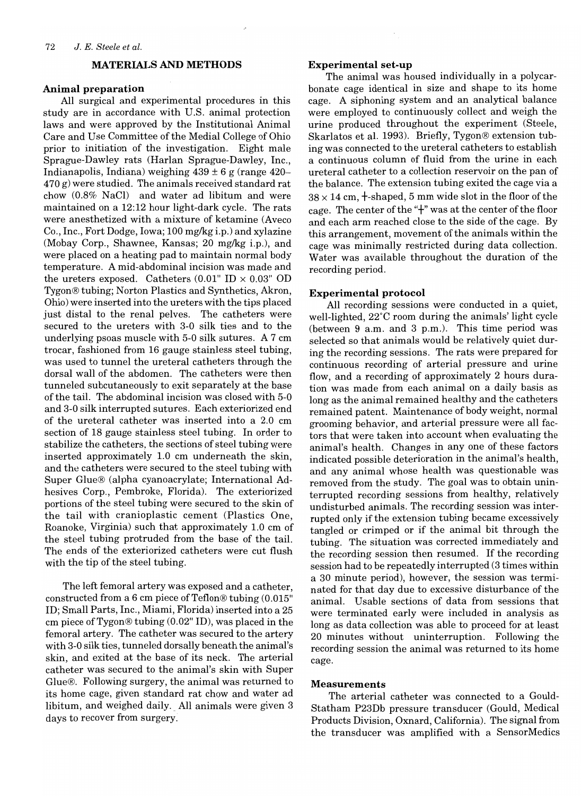#### **MATERIALS AND METHODS**

#### **Animal preparation**

All surgical and experimental procedures in this study are in accordance with U.s. animal protection laws and were approved by the Institutional Animal Care and Use Committee of the Medial College of Ohio prior to initiation of the investigation. Eight male Sprague-Dawley rats (Harlan Sprague-Dawley, Inc., Indianapolis, Indiana) weighing  $439 \pm 6$  g (range  $420-$ 470 g) were studied. The animals received standard rat chow (0.8% NaCl) and water ad libitum and were maintained on a 12:12 hour light-dark cycle. The rats were anesthetized with a mixture of ketamine (Aveco Co., Inc., Fort Dodge, Iowa; 100 mg/kg i.p.) and xylazine (Mobay Corp., Shawnee, Kansas; 20 mg/kg i.p.), and were placed on a heating pad to maintain normal body temperature. A mid-abdominal incision was made and the ureters exposed. Catheters  $(0.01"$  ID  $\times$  0.03" OD Tygon® tubing; Norton Plastics and Synthetics, Akron, Ohio) were inserted into the ureters with the tips placed just distal to the renal pelves. The catheters were secured to the ureters with 3-0 silk ties and to the underlying psoas muscle with 5-0 silk sutures. A 7 cm trocar, fashioned from 16 gauge stainless steel tubing, was used to tunnel the ureteral catheters through the dorsal wall of the abdomen. The catheters were then tunneled subcutaneously to exit separately at the base of the tail. The abdominal incision was closed with 5-0 and 3-0 silk interrupted sutures. Each exteriorized end of the ureteral catheter was inserted into a 2.0 cm section of 18 gauge stainless steel tubing. In order to stabilize the catheters, the sections of steel tubing were inserted approximately 1.0 cm underneath the skin, and the catheters were secured to the steel tubing with Super Glue® (alpha cyanoacrylate; International Adhesives Corp., Pembroke, Florida). The exteriorized portions of the steel tubing were secured to the skin of the tail with cranioplastic cement (Plastics One, Roanoke, Virginia) such that approximately 1.0 cm of the steel tubing protruded from the base of the tail. The ends of the exteriorized catheters were cut flush with the tip of the steel tubing.

The left femoral artery was exposed and a catheter, constructed from a 6 cm piece of Teflon® tubing (0.015" ID; Small Parts, Inc., Miami, Florida) inserted into a 25 cm piece of Tygon® tubing (0.02" ID), was placed in the femoral artery. The catheter was secured to the artery with 3-0 silk ties, tunneled dorsally beneath the animal's skin, and exited at the base of its neck. The arterial catheter was secured to the animal's skin with Super Glue®. Following surgery, the animal was returned to its home cage, given standard rat chow and water ad libitum, and weighed daily. All animals were given 3 days to recover from surgery.

#### **Experimental set-up**

The animal was housed individually in a polycarbonate cage identical in size and shape to its home cage. A siphoning system and an analytical balance were employed to continuously collect and weigh the urine produced throughout the experiment (Steele, Skarlatos et al. 1993). Briefly, Tygon® extension tubing was connected to the ureteral catheters to establish a continuous column of fluid from the urine in each ureteral catheter to a collection reservoir on the pan of the balance. The extension tubing exited the cage via a  $38 \times 14$  cm,  $+$ -shaped, 5 mm wide slot in the floor of the cage. The center of the " $\dagger$ " was at the center of the floor and each arm reached close to the side of the cage. By this arrangement, movement of the animals within the cage was minimally restricted during data collection. Water was available throughout the duration of the recording period.

#### **Experimental protocol**

All recording sessions were conducted in a quiet, well-lighted, 22°C room during the animals' light cycle (between 9 a.m. and 3 p.m.). This time period was selected so that animals would be relatively quiet during the recording sessions. The rats were prepared for continuous recording of arterial pressure and urine flow, and a recording of approximately 2 hours duration was made from each animal on a daily basis as long as the animal remained healthy and the catheters remained patent. Maintenance of body weight, normal grooming behavior, and arterial pressure were all factors that were taken into account when evaluating the animal's health. Changes in anyone of these factors indicated possible deterioration in the animal's health, and any animal whose health was questionable was removed from the study. The goal was to obtain uninterrupted recording sessions from healthy, relatively undisturbed animals. The recording session was interrupted only if the extension tubing became excessively tangled or crimped or if the animal bit through the tubing. The situation was corrected immediately and the recording session then resumed. If the recording session had to be repeatedly interrupted (3 times within a 30 minute period), however, the session was terminated for that day due to excessive disturbance of the animal. Usable sections of data from sessions that were terminated early were included in analysis as long as data collection was able to proceed for at least 20 minutes without uninterruption. Following the recording session the animal was returned to its home cage.

#### **Measurements**

The arterial catheter was connected to a Gould-Statham P23Db pressure transducer (Gould, Medical Products Division, Oxnard, California). The signal from the transducer was amplified with a SensorMedics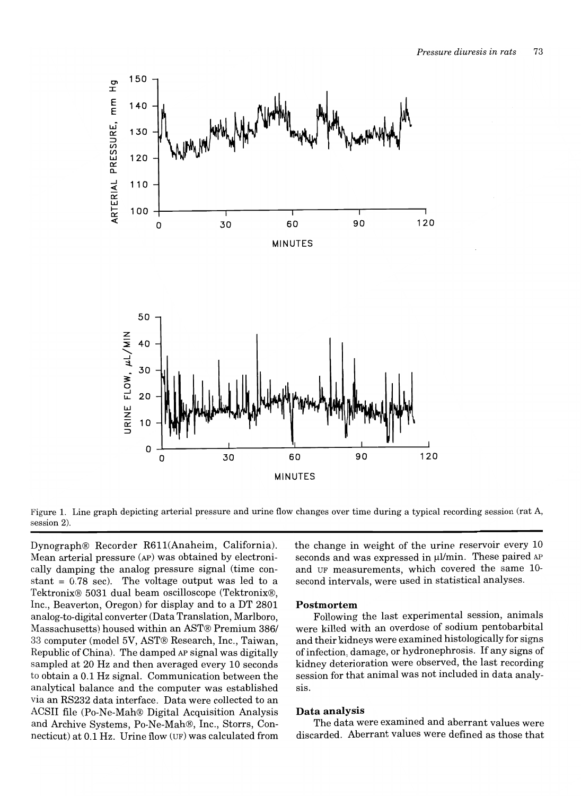

Figure 1. Line graph depicting arterial pressure and urine flow changes over time during a typical recording session (rat A, session 2).

Dynograph® Recorder R611(Anaheim, California). Mean arterial pressure (AP) was obtained by electronically damping the analog pressure signal (time constant  $= 0.78$  sec). The voltage output was led to a Tektronix® 5031 dual beam oscilloscope (Tektronix®, Inc., Beaverton, Oregon) for display and to a DT 2801 analog-to-digital converter (Data Translation, Marlboro, Massachusetts) housed within an AST® Premium 386/ 33 computer (model 5V, AST® Research, Inc., Taiwan, Republic of China). The damped AP signal was digitally sampled at 20 Hz and then averaged every 10 seconds to obtain a 0.1 Hz signal. Communication between the analytical balance and the computer was established via an RS232 data interface. Data were collected to an ACSII file (Po-Ne-Mah® Digital Acquisition Analysis and Archive Systems, Po-Ne-Mah®, Inc., Storrs, Connecticut) at 0.1 Hz. Urine flow (UF) was calculated from

the change in weight of the urine reservoir every 10 seconds and was expressed in  $\mu$ I/min. These paired AP and UF measurements, which covered the same 10 second intervals, were used in statistical analyses.

#### **Postmortem**

Following the last experimental session, animals were killed with an overdose of sodium pentobarbital and their kidneys were examined histologically for signs of infection, damage, or hydronephrosis. If any signs of kidney deterioration were observed, the last recording session for that animal was not included in data analysis.

#### **Data analysis**

The data were examined and aberrant values were discarded. Aberrant values were defined as those that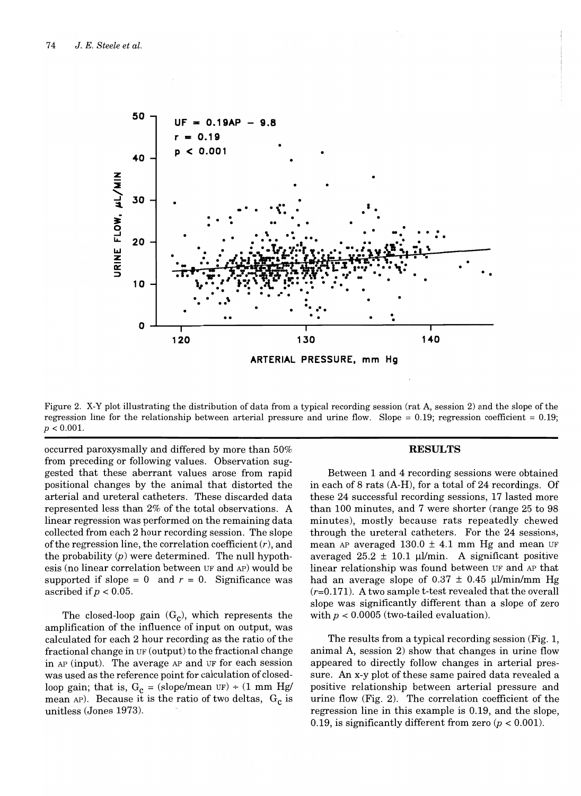

Figure 2. X-Y plot illustrating the distribution of data from a typical recording session (rat A, session 2) and the slope of the regression line for the relationship between arterial pressure and urine flow. Slope =  $0.19$ ; regression coefficient =  $0.19$ ;  $p < 0.001$ .

occurred paroxysmally and differed by more than 50% from preceding or following values. Observation suggested that these aberrant values arose from rapid positional changes by the animal that distorted the arterial and ureteral catheters. These discarded data represented less than 2% of the total observations. A linear regression was performed on the remaining data collected from each 2 hour recording session. The slope of the regression line, the correlation coefficient  $(r)$ , and the probability  $(p)$  were determined. The null hypothesis (no linear correlation between UF and AP) would be supported if slope = 0 and  $r = 0$ . Significance was ascribed if  $p < 0.05$ .

The closed-loop gain  $(G_c)$ , which represents the amplification of the influence of input on output, was calculated for each 2 hour recording as the ratio of the fractional change in UF (output) to the fractional change in AP (input). The average AP and UF for each session was used as the reference point for calculation of closedloop gain; that is,  $G_c = (slope/mean \n\t\t\tUF) ÷ (1 mm Hg/$ mean AP). Because it is the ratio of two deltas,  $G_c$  is unitless (Jones 1973).

#### **RESULTS**

Between 1 and 4 recording sessions were obtained in each of 8 rats (A-H), for a total of 24 recordings. Of these 24 successful recording sessions, 17 lasted more than 100 minutes, and 7 were shorter (range 25 to 98 minutes), mostly because rats repeatedly chewed through the ureteral catheters. For the 24 sessions, mean AP averaged  $130.0 \pm 4.1$  mm Hg and mean UF averaged  $25.2 \pm 10.1$  µl/min. A significant positive linear relationship was found between UF and AP that had an average slope of  $0.37 \pm 0.45$  µl/min/mm Hg  $(r=0.171)$ . A two sample t-test revealed that the overall slope was significantly different than a slope of zero with  $p < 0.0005$  (two-tailed evaluation).

The results from a typical recording session (Fig. 1, animal A, session 2) show that changes in urine flow appeared to directly follow changes in arterial pressure. An x-y plot of these same paired data revealed a positive relationship between arterial pressure and urine flow (Fig. 2). The correlation coefficient of the regression line in this example is 0.19, and the slope, 0.19, is significantly different from zero  $(p < 0.001)$ .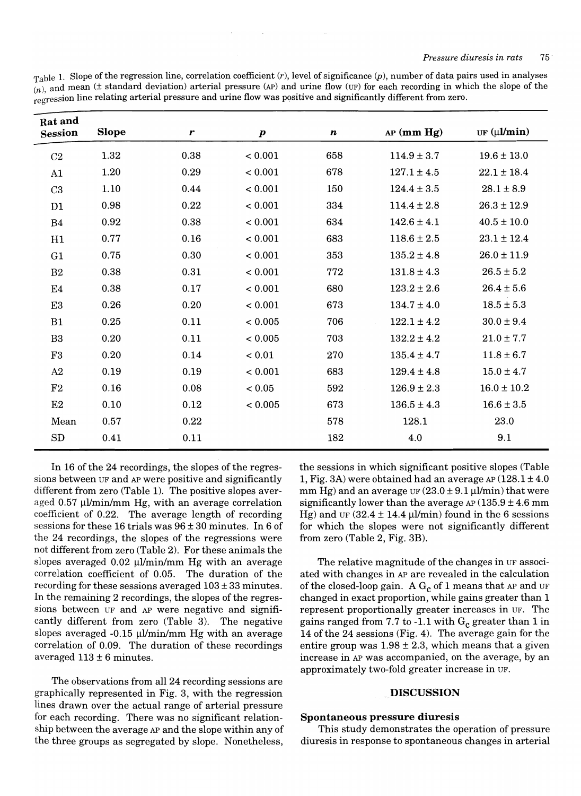| $\tau_{\text{able}}$ 1. Slope of the regression line, correlation coefficient (r), level of significance (p), number of data pairs used in analyses |  |
|-----------------------------------------------------------------------------------------------------------------------------------------------------|--|
| $(n)$ , and mean ( $\pm$ standard deviation) arterial pressure (AP) and urine flow (UF) for each recording in which the slope of the                |  |
| regression line relating arterial pressure and urine flow was positive and significantly different from zero.                                       |  |

| Rat and<br><b>Session</b> | <b>Slope</b> | $\boldsymbol{r}$ | $\boldsymbol{p}$ | $\boldsymbol{n}$ | $AP$ (mm $Hg$ ) | UF $(\mu\mathbf{l/min})$ |
|---------------------------|--------------|------------------|------------------|------------------|-----------------|--------------------------|
| $\rm C2$                  | 1.32         | 0.38             | < 0.001          | 658              | $114.9 \pm 3.7$ | $19.6 \pm 13.0$          |
| A1                        | 1.20         | 0.29             | < 0.001          | 678              | $127.1 \pm 4.5$ | $22.1 \pm 18.4$          |
| C3                        | 1.10         | 0.44             | < 0.001          | 150              | $124.4 \pm 3.5$ | $28.1 \pm 8.9$           |
| D1                        | 0.98         | 0.22             | < 0.001          | 334              | $114.4 \pm 2.8$ | $26.3 \pm 12.9$          |
| B <sub>4</sub>            | 0.92         | 0.38             | < 0.001          | 634              | $142.6 \pm 4.1$ | $40.5 \pm 10.0$          |
| H1                        | 0.77         | $0.16\,$         | < 0.001          | 683              | $118.6 \pm 2.5$ | $23.1 \pm 12.4$          |
| G1                        | 0.75         | 0.30             | < 0.001          | 353              | $135.2 \pm 4.8$ | $26.0 \pm 11.9$          |
| B <sub>2</sub>            | 0.38         | 0.31             | < 0.001          | 772              | $131.8 \pm 4.3$ | $26.5 \pm 5.2$           |
| E4                        | 0.38         | 0.17             | < 0.001          | 680              | $123.2 \pm 2.6$ | $26.4 \pm 5.6$           |
| E3                        | 0.26         | $0.20\,$         | < 0.001          | 673              | $134.7 \pm 4.0$ | $18.5 \pm 5.3$           |
| B1                        | $0.25\,$     | $0.11\,$         | < 0.005          | 706              | $122.1 \pm 4.2$ | $30.0 \pm 9.4$           |
| B <sub>3</sub>            | 0.20         | 0.11             | < 0.005          | 703              | $132.2 \pm 4.2$ | $21.0 \pm 7.7$           |
| F3                        | 0.20         | 0.14             | < 0.01           | 270              | $135.4 \pm 4.7$ | $11.8 \pm 6.7$           |
| A2                        | 0.19         | 0.19             | < 0.001          | 683              | $129.4 \pm 4.8$ | $15.0 \pm 4.7$           |
| F2                        | 0.16         | 0.08             | < 0.05           | 592              | $126.9 \pm 2.3$ | $16.0 \pm 10.2$          |
| E2                        | 0.10         | 0.12             | < 0.005          | 673              | $136.5 \pm 4.3$ | $16.6 \pm 3.5$           |
| Mean                      | 0.57         | 0.22             |                  | 578              | 128.1           | 23.0                     |
| SD                        | 0.41         | 0.11             |                  | 182              | 4.0             | 9.1                      |

In 16 of the 24 recordings, the slopes of the regressions between UF and AP were positive and significantly different from zero (Table 1). The positive slopes averaged  $0.57 \mu$ l/min/mm Hg, with an average correlation coefficient of 0.22. The average length of recording sessions for these 16 trials was 96 ± 30 minutes. In 6 of the 24 recordings, the slopes of the regressions were not different from zero (Table 2). For these animals the slopes averaged  $0.02 \mu$ l/min/mm Hg with an average correlation coefficient of 0.05. The duration of the recording for these sessions averaged  $103 \pm 33$  minutes. In the remaining 2 recordings, the slopes of the regressions between UF and AP were negative and significantly different from zero (Table 3). The negative slopes averaged  $-0.15 \mu$ l/min/mm Hg with an average correlation of 0.09. The duration of these recordings averaged  $113 \pm 6$  minutes.

The observations from all 24 recording sessions are graphically represented in Fig. 3, with the regression lines drawn over the actual range of arterial pressure for each recording. There was no significant relationship between the average AP and the slope within any of the three groups as segregated by slope. Nonetheless,

the sessions in which significant positive slopes (Table 1, Fig. 3A) were obtained had an average  $AP(128.1 \pm 4.0)$ mm Hg) and an average UF  $(23.0 \pm 9.1 \,\mu$ l/min) that were significantly lower than the average  $AP(135.9 \pm 4.6 \text{ mm})$ Hg) and UF (32.4  $\pm$  14.4 µl/min) found in the 6 sessions for which the slopes were not significantly different from zero (Table 2, Fig. 3B).

The relative magnitude of the changes in UF associated with changes in AP are revealed in the calculation of the closed-loop gain. A  $G_c$  of 1 means that AP and UF changed in exact proportion, while gains greater than 1 represent proportionally greater increases in UF. The gains ranged from 7.7 to -1.1 with  $G_c$  greater than 1 in 14 of the 24 sessions (Fig. 4). The average gain for the entire group was  $1.98 \pm 2.3$ , which means that a given increase in AP was accompanied, on the average, by an approximately two-fold greater increase in UF.

#### . DISCUSSION

## Spontaneous pressure diuresis

This study demonstrates the operation of pressure diuresis in response to spontaneous changes in arterial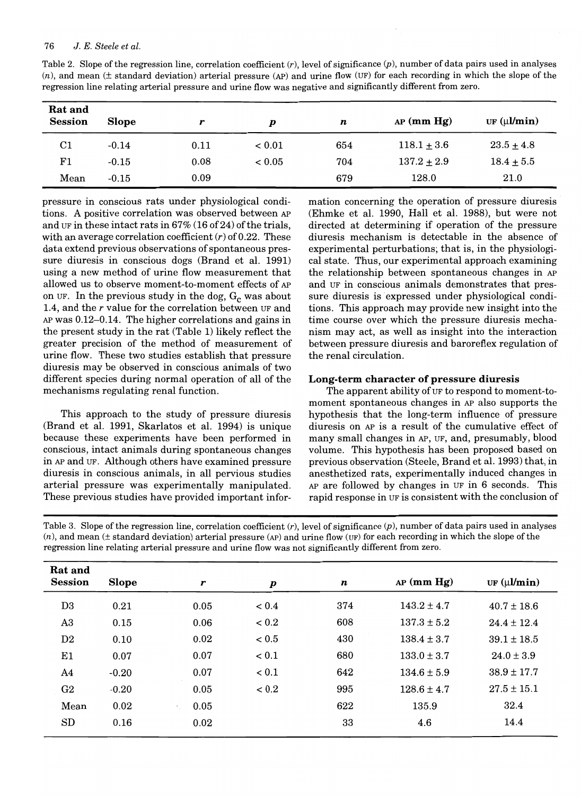| Rat and<br><b>Session</b> | <b>Slope</b> | r    | p             | n   | $AP$ (mm $Hg$ ) | UF $(\mu \mathbf{I}/\mathbf{min})$ |
|---------------------------|--------------|------|---------------|-----|-----------------|------------------------------------|
| $_{\rm C1}$               | $-0.14$      | 0.11 | ${}_{< 0.01}$ | 654 | $118.1 \pm 3.6$ | $23.5 \pm 4.8$                     |
| $_{\rm F1}$               | $-0.15$      | 0.08 | ${}_{< 0.05}$ | 704 | $137.2 \pm 2.9$ | $18.4 \pm 5.5$                     |
| Mean                      | $-0.15$      | 0.09 |               | 679 | 128.0           | 21.0                               |

Table 2. Slope of the regression line, correlation coefficient  $(r)$ , level of significance  $(p)$ , number of data pairs used in analyses  $(n)$ , and mean ( $\pm$  standard deviation) arterial pressure (AP) and urine flow (UF) for each recording in which the slope of the regression line relating arterial pressure and urine flow was negative and significantly different from zero.

pressure in conscious rats under physiological conditions. A positive correlation was observed between AP and UF in these intact rats in  $67\%$  (16 of 24) of the trials, with an average correlation coefficient  $(r)$  of 0.22. These data extend previous observations of spontaneous pressure diuresis in conscious dogs (Brand et al. 1991) using a new method of urine flow measurement that allowed us to observe moment-to-moment effects of AP on UF. In the previous study in the dog,  $G_c$  was about 1.4, and the *r* value for the correlation between UF and AP was 0.12-0.14. The higher correlations and gains in the present study in the rat (Table 1) likely reflect the greater precision of the method of measurement of urine flow. These two studies establish that pressure diuresis may be observed in conscious animals of two different species during normal operation of all of the mechanisms regulating renal function.

This approach to the study of pressure diuresis (Brand et al. 1991, Skarlatos et al. 1994) is unique because these experiments have been performed in conscious, intact animals during spontaneous changes in AP and UF. Although others have examined pressure diuresis in conscious animals, in all pervious studies arterial pressure was experimentally manipulated. These previous studies have provided important information concerning the operation of pressure diuresis (Ehmke et al. 1990, Hall et al. 1988), but were not directed at determining if operation of the pressure diuresis mechanism is detectable in the absence of experimental perturbations; that is, in the physiological state. Thus, our experimental approach examining the relationship between spontaneous changes in AP and UF in conscious animals demonstrates that pressure diuresis is expressed under physiological conditions. This approach may provide new insight into the time course over which the pressure diuresis mechanism may act, as well as insight into the interaction between pressure diuresis and baroreflex regulation of the renal circulation.

## **Long-term character of pressure diuresis**

The apparent ability of UF to respond to moment-tomoment spontaneous changes in AP also supports the hypothesis that the long-term influence of pressure diuresis on AP is a result of the cumulative effect of many small changes in AP, UF, and, presumably, blood volume. This hypothesis has been proposed based on previous observation (Steele, Brand et al. 1993) that, in anesthetized rats, experimentally induced changes in AP are followed by changes in UF in 6 seconds. This rapid response in UF is consistent with the conclusion of

Table 3. Slope of the regression line, correlation coefficient  $(r)$ , level of significance  $(p)$ , number of data pairs used in analyses  $(n)$ , and mean ( $\pm$  standard deviation) arterial pressure (AP) and urine flow (UF) for each recording in which the slope of the regression line relating arterial pressure and urine flow was not significantly different from zero.

| Rat and<br><b>Session</b> | <b>Slope</b> | r                                  | $\boldsymbol{p}$ | $\boldsymbol{n}$ | $AP$ (mm $Hg$ ) | UF (µl/min)     |
|---------------------------|--------------|------------------------------------|------------------|------------------|-----------------|-----------------|
|                           |              |                                    |                  |                  |                 |                 |
| D <sub>3</sub>            | 0.21         | 0.05                               | ${}_{0.4}$       | 374              | $143.2 \pm 4.7$ | $40.7 \pm 18.6$ |
| A <sub>3</sub>            | 0.15         | 0.06                               | ${}_{0.2}$       | 608              | $137.3 \pm 5.2$ | $24.4 \pm 12.4$ |
| D <sub>2</sub>            | 0.10         | 0.02                               | ${}_{< 0.5}$     | 430              | $138.4 \pm 3.7$ | $39.1 \pm 18.5$ |
| E1                        | 0.07         | 0.07                               | ${}_{0.1}$       | 680              | $133.0 \pm 3.7$ | $24.0 \pm 3.9$  |
| A4                        | $-0.20$      | 0.07                               | < 0.1            | 642              | $134.6 \pm 5.9$ | $38.9 \pm 17.7$ |
| G2                        | $-0.20$      | 0.05                               | ${}_{< 0.2}$     | 995              | $128.6 \pm 4.7$ | $27.5 \pm 15.1$ |
| Mean                      | 0.02         | 0.05<br>$\overline{\phantom{a}}$ . |                  | 622              | 135.9           | 32.4            |
| SD                        | 0.16         | 0.02                               |                  | 33               | 4.6             | 14.4            |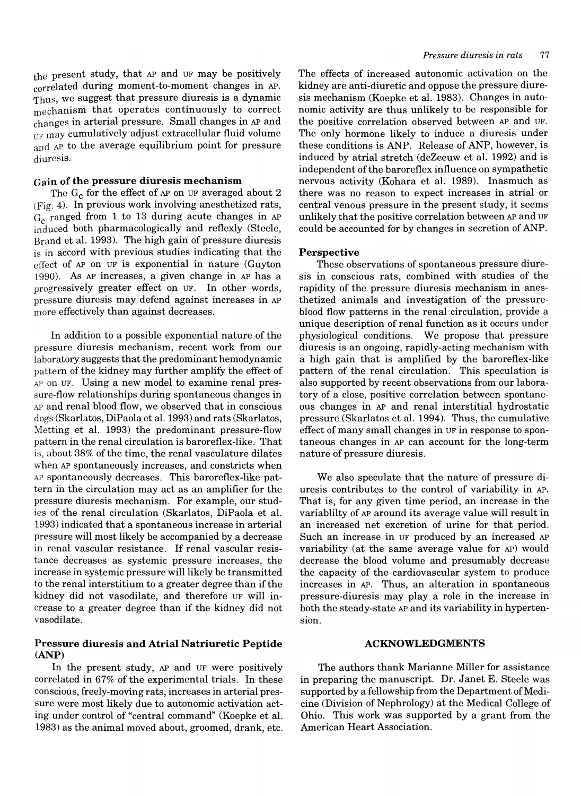the present study, that AP and UF may be positively correlated during moment-to-moment changes in AP. Thus, we suggest that pressure diuresis is a dynamic mechanism that operates continuously to correct changes in arterial pressure. Small changes in AP and UF may cumulatively adjust extracellular fluid volume and AP to the average equilibrium point for pressure diuresis.

#### Gain of the pressure diuresis mechanism

The  $G_c$  for the effect of AP on UF averaged about 2 (Fig. 4). In previous work involving anesthetized rats,  $G_c$  ranged from 1 to 13 during acute changes in AP induced both pharmacologically and reflexly (Steele, Brand et al. 1993). The high gain of pressure diuresis is in accord with previous studies indicating that the effect of AP on UF is exponential in nature (Guyton 1990). As AP increases, a given change in AP has a progressively greater effect on UF. In other words, pressure diuresis may defend against increases in AP more effectively than against decreases.

In addition to a possible exponential nature of the pressure diuresis mechanism, recent work from our laboratory suggests that the predominant hemodynamic pattern of the kidney may further amplify the effect of AP on UF. Using a new model to examine renal pressure-flow relationships during spontaneous changes in AP and renal blood flow, we observed that in conscious dogs (Skarlatos, DiPaola et al. 1993) and rats (Skarlatos, Metting et al. 1993) the predominant pressure-flow pattern in the renal circulation is baroreflex-like. That is, about 38% of the time, the renal vasculature dilates when AP spontaneously increases, and constricts when AP spontaneously decreases. This baroreflex-like pattern in the circulation may act as an amplifier for the pressure diuresis mechanism. For example, our studies of the renal circulation (Skarlatos, DiPaola et al. 1993) indicated that a spontaneous increase in arterial pressure will most likely be accompanied by a decrease in renal vascular resistance. If renal vascular resistance decreases as systemic pressure increases, the increase in systemic pressure will likely be transmitted to the renal interstitium to a greater degree than if the kidney did not vasodilate, and therefore UF will increase to a greater degree than if the kidney did not vasodilate.

### Pressure diuresis and Atrial Natriuretic Peptide (ANP)

In the present study, AP and UF were positively correlated in 67% of the experimental trials. In these conscious, freely-moving rats, increases in arterial pressure were most likely due to autonomic activation acting under control of "central command" (Koepke et al. 1983) as the animal moved about, groomed, drank, etc. The effects of increased autonomic activation on the kidney are anti-diuretic and oppose the pressure diuresis mechanism (Koepke et al. 1983). Changes in autonomic activity are thus unlikely to be responsible for the positive correlation observed between AP and UF. The only hormone likely to induce a diuresis under these conditions is ANP. Release of ANP, however, is induced by atrial stretch (deZeeuw et al. 1992) and is independent of the baroreflex influence on sympathetic nervous activity (Kohara et al. 1989). Inasmuch as there was no reason to expect increases in atrial or central venous pressure in the present study, it seems unlikely that the positive correlation between AP and UF could be accounted for by changes in secretion of ANP.

#### Perspective

These observations of spontaneous pressure diuresis in conscious rats, combined with studies of the rapidity of the pressure diuresis mechanism in anesthetized animals and investigation of the pressureblood flow patterns in the renal circulation, provide a unique description of renal function as it occurs under physiological conditions. We propose that pressure diuresis is an ongoing, rapidly-acting mechanism with a high gain that is amplified by the baroreflex-like pattern of the renal circulation. This speculation is also supported by recent observations from our laboratory of a close, positive correlation between spontaneous changes in AP and renal interstitial hydrostatic pressure (Skarlatos et al. 1994). Thus, the cumulative effect of many small changes in UF in response to spontaneous changes in AP can account for the long-term nature of pressure diuresis.

We also speculate that the nature of pressure diuresis contributes to the control of variability in AP. That is, for any given time period, an increase in the variablilty of AP around its average value will result in an increased net excretion of urine for that period. Such an increase in UF produced by an increased AP variability (at the same average value for AP) would decrease the blood volume and presumably decrease the capacity of the cardiovascular system to produce increases in AP. Thus, an alteration in spontaneous pressure-diuresis may play a role in the increase in both the steady-state AP and its variability in hypertension.

## ACKNOWLEDGMENTS

The authors thank Marianne Miller for assistance in preparing the manuscript. Dr. Janet E. Steele was supported by a fellowship from the Department of Medicine (Division of Nephrology) at the Medical College of Ohio. This work was supported by a grant from the American Heart Association.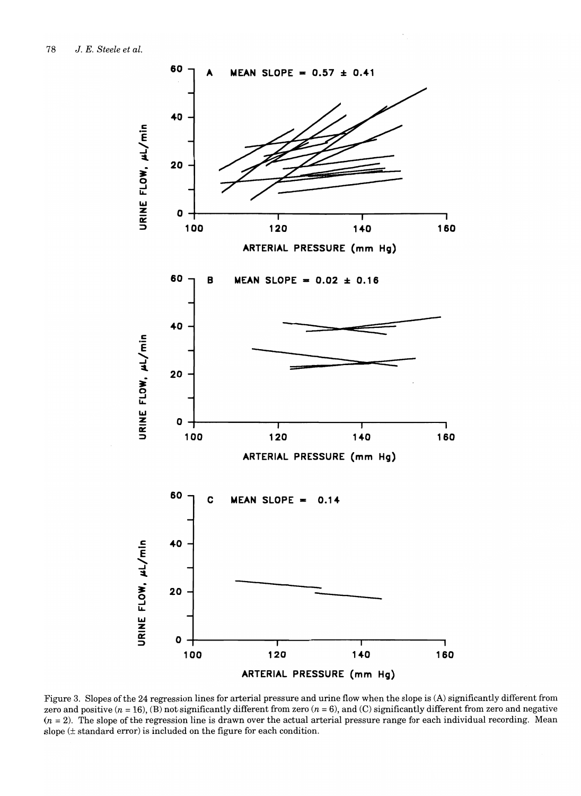

Figure 3. Slopes ofthe 24 regression lines for arterial pressure and urine flow when the slope is (A) significantly different from zero and positive ( $n = 16$ ), (B) not significantly different from zero ( $n = 6$ ), and (C) significantly different from zero and negative  $(n = 2)$ . The slope of the regression line is drawn over the actual arterial pressure range for each individual recording. Mean slope (± standard error) is included on the figure for each condition.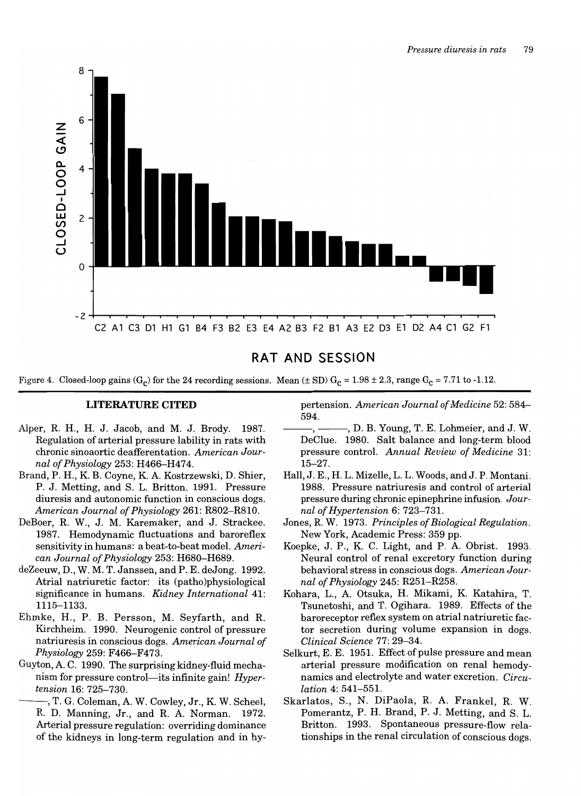

## **RAT AND SESSION**

Figure 4. Closed-loop gains  $(G_c)$  for the 24 recording sessions. Mean ( $\pm$  SD)  $G_c$  = 1.98  $\pm$  2.3, range  $G_c$  = 7.71 to -1.12.

## **LITERATURE CITED**

- Alper, R. H., H. J. Jacob, and M. J. Brody. 1987. Regulation of arterial pressure lability in rats with chronic sinoaortic deafferentation. *American Journal of Physiology* 253: H466-H474.
- Brand, P. H., K. B. Coyne, K. A. Kostrzewski, D. Shier, P. J. Metting, and S. L. Britton. 1991. Pressure diuresis and autonomic function in conscious dogs. *American Journal of Physiology* 261: R802-R810.
- DeBoer, R. W., J. M. Karemaker, and J. Strackee. 1987. Hemodynamic fluctuations and baroreflex sensitivity in humans: a beat-to-beat model. *American Journal of Physiology* 253: H680-H689.
- deZeeuw, D., W. M. T. Janssen, and P. E. deJong. 1992. Atrial natriuretic factor: its (patho)physiological significance in humans. *Kidney International* 41: 1115-1133.
- Ehmke, H., P. B. Persson, M. Seyfarth, and R. Kirchheim. 1990. Neurogenic control of pressure natriuresis in conscious dogs. *American Journal of Physiology* 259: F466-F473.
- Guyton, A. C. 1990. The surprising kidney-fluid mechanism for pressure control-its infinite gain! *Hypertension* 16: 725-730.

-, T. G. Coleman, A. W. Cowley, Jr., K. W. Scheel, R. D. Manning, Jr., and R. A. Norman. 1972. Arterial pressure regulation: overriding dominance of the kidneys in long-term regulation and in hypertension. *American Journal of Medicine* 52: 584- 594.

- -, D. B. Young, T. E. Lohmeier, and J. W. DeClue. 1980. Salt balance and long-term blood pressure control. *Annual Review of Medicine 31:*  15-27.
- Hall, J. E., H. L. Mizelle, L. L. Woods, and J. P. Montani. 1988. Pressure natriuresis and control of arterial pressure during chronic epinephrine infusion. *Journal of Hypertension* 6: 723-731.
- Jones, R. W. 1973. *Principles of Biological Regulation.*  New York, Academic Press: 359 pp.
- Koepke, J. P., K. C. Light, and P. A. Obrist. 1993. Neural control of renal excretory function during behavioral stress in conscious dogs. *American Journal of Physiology* 245: R251-R258.
- Kohara, L., A. Otsuka, H. Mikami, K. Katahira, T. Tsunetoshi, and T. Ogihara. 1989. Effects of the baroreceptor reflex system on atrial natriuretic factor secretion during volume expansion in dogs. *Clinical Science* 77: 29-34.
- Selkurt, E. E. 1951. Effect of pulse pressure and mean arterial pressure modification on renal hemodynamics and electrolyte and water excretion. *Circulation* 4: 541-551.
- Skarlatos, S., N. DiPaola, R. A. Frankel, R. W. Pomerantz, P. H. Brand, P. J. Metting, and S. L. Britton. 1993. Spontaneous pressure-flow relationships in the renal circulation of conscious dogs.